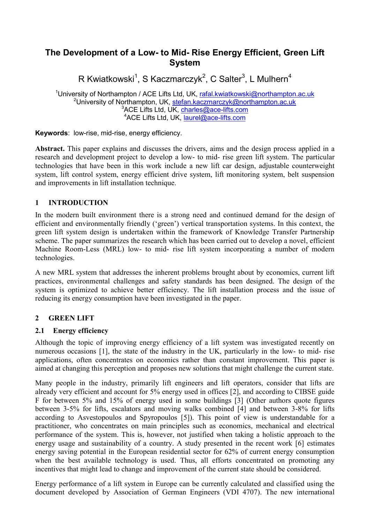# **The Development of a Low- to Mid- Rise Energy Efficient, Green Lift System**

R Kwiatkowski<sup>1</sup>, S Kaczmarczyk<sup>2</sup>, C Salter<sup>3</sup>, L Mulhern<sup>4</sup>

<sup>1</sup>University of Northampton / ACE Lifts Ltd, UK, [rafal.kwiatkowski@northampton.ac.uk](mailto:rafal.kwiatkowski@northampton.ac.uk) <sup>2</sup>University of Northampton, UK, [stefan.kaczmarczyk@northampton.ac.uk](mailto:stefan.kaczmarczyk@northampton.ac.uk)  $3$ ACE Lifts Ltd, UK, [charles@ace-lifts.com](mailto:charles@ace-lifts.com) <sup>4</sup>ACE Lifts Ltd, UK, [laurel@ace-lifts.com](mailto:laurel@ace-lifts.com)

**Keywords**: low-rise, mid-rise, energy efficiency.

**Abstract.** This paper explains and discusses the drivers, aims and the design process applied in a research and development project to develop a low- to mid- rise green lift system. The particular technologies that have been in this work include a new lift car design, adjustable counterweight system, lift control system, energy efficient drive system, lift monitoring system, belt suspension and improvements in lift installation technique.

## **1 INTRODUCTION**

In the modern built environment there is a strong need and continued demand for the design of efficient and environmentally friendly ('green') vertical transportation systems. In this context, the green lift system design is undertaken within the framework of Knowledge Transfer Partnership scheme. The paper summarizes the research which has been carried out to develop a novel, efficient Machine Room-Less (MRL) low- to mid- rise lift system incorporating a number of modern technologies.

A new MRL system that addresses the inherent problems brought about by economics, current lift practices, environmental challenges and safety standards has been designed. The design of the system is optimized to achieve better efficiency. The lift installation process and the issue of reducing its energy consumption have been investigated in the paper.

## **2 GREEN LIFT**

## **2.1 Energy efficiency**

Although the topic of improving energy efficiency of a lift system was investigated recently on numerous occasions [1], the state of the industry in the UK, particularly in the low- to mid- rise applications, often concentrates on economics rather than constant improvement. This paper is aimed at changing this perception and proposes new solutions that might challenge the current state.

Many people in the industry, primarily lift engineers and lift operators, consider that lifts are already very efficient and account for 5% energy used in offices [2], and according to CIBSE guide F for between 5% and 15% of energy used in some buildings [3] (Other authors quote figures between 3-5% for lifts, escalators and moving walks combined [4] and between 3-8% for lifts according to Asvestopoulos and Spyropoulos [5]). This point of view is understandable for a practitioner, who concentrates on main principles such as economics, mechanical and electrical performance of the system. This is, however, not justified when taking a holistic approach to the energy usage and sustainability of a country. A study presented in the recent work [6] estimates energy saving potential in the European residential sector for 62% of current energy consumption when the best available technology is used. Thus, all efforts concentrated on promoting any incentives that might lead to change and improvement of the current state should be considered.

Energy performance of a lift system in Europe can be currently calculated and classified using the document developed by Association of German Engineers (VDI 4707). The new international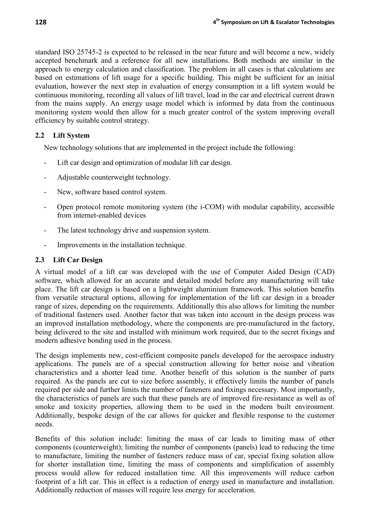standard ISO 25745-2 is expected to be released in the near future and will become a new, widely accepted benchmark and a reference for all new installations. Both methods are similar in the approach to energy calculation and classification. The problem in all cases is that calculations are based on estimations of lift usage for a specific building. This might be sufficient for an initial evaluation, however the next step in evaluation of energy consumption in a lift system would be continuous monitoring, recording all values of lift travel, load in the car and electrical current drawn from the mains supply. An energy usage model which is informed by data from the continuous monitoring system would then allow for a much greater control of the system improving overall efficiency by suitable control strategy.

#### **2.2 Lift System**

New technology solutions that are implemented in the project include the following:

- Lift car design and optimization of modular lift car design.
- Adjustable counterweight technology.
- New, software based control system.
- Open protocol remote monitoring system (the i-COM) with modular capability, accessible from internet-enabled devices
- The latest technology drive and suspension system.
- Improvements in the installation technique.

#### **2.3 Lift Car Design**

A virtual model of a lift car was developed with the use of Computer Aided Design (CAD) software, which allowed for an accurate and detailed model before any manufacturing will take place. The lift car design is based on a lightweight aluminium framework. This solution benefits from versatile structural options, allowing for implementation of the lift car design in a broader range of sizes, depending on the requirements. Additionally this also allows for limiting the number of traditional fasteners used. Another factor that was taken into account in the design process was an improved installation methodology, where the components are pre-manufactured in the factory, being delivered to the site and installed with minimum work required, due to the secret fixings and modern adhesive bonding used in the process.

The design implements new, cost-efficient composite panels developed for the aerospace industry applications. The panels are of a special construction allowing for better noise and vibration characteristics and a shorter lead time. Another benefit of this solution is the number of parts required. As the panels are cut to size before assembly, it effectively limits the number of panels required per side and further limits the number of fasteners and fixings necessary. Most importantly, the characteristics of panels are such that these panels are of improved fire-resistance as well as of smoke and toxicity properties, allowing them to be used in the modern built environment. Additionally, bespoke design of the car allows for quicker and flexible response to the customer needs.

Benefits of this solution include: limiting the mass of car leads to limiting mass of other components (counterweight); limiting the number of components (panels) lead to reducing the time to manufacture, limiting the number of fasteners reduce mass of car, special fixing solution allow for shorter installation time, limiting the mass of components and simplification of assembly process would allow for reduced installation time. All this improvements will reduce carbon footprint of a lift car. This in effect is a reduction of energy used in manufacture and installation. Additionally reduction of masses will require less energy for acceleration.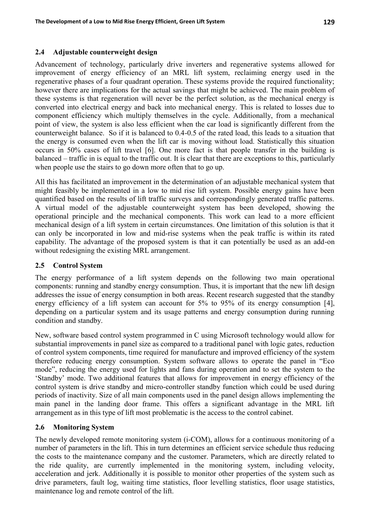### **2.4 Adjustable counterweight design**

Advancement of technology, particularly drive inverters and regenerative systems allowed for improvement of energy efficiency of an MRL lift system, reclaiming energy used in the regenerative phases of a four quadrant operation. These systems provide the required functionality; however there are implications for the actual savings that might be achieved. The main problem of these systems is that regeneration will never be the perfect solution, as the mechanical energy is converted into electrical energy and back into mechanical energy. This is related to losses due to component efficiency which multiply themselves in the cycle. Additionally, from a mechanical point of view, the system is also less efficient when the car load is significantly different from the counterweight balance. So if it is balanced to 0.4-0.5 of the rated load, this leads to a situation that the energy is consumed even when the lift car is moving without load. Statistically this situation occurs in 50% cases of lift travel [6]. One more fact is that people transfer in the building is balanced – traffic in is equal to the traffic out. It is clear that there are exceptions to this, particularly when people use the stairs to go down more often that to go up.

All this has facilitated an improvement in the determination of an adjustable mechanical system that might feasibly be implemented in a low to mid rise lift system. Possible energy gains have been quantified based on the results of lift traffic surveys and correspondingly generated traffic patterns. A virtual model of the adjustable counterweight system has been developed, showing the operational principle and the mechanical components. This work can lead to a more efficient mechanical design of a lift system in certain circumstances. One limitation of this solution is that it can only be incorporated in low and mid-rise systems when the peak traffic is within its rated capability. The advantage of the proposed system is that it can potentially be used as an add-on without redesigning the existing MRL arrangement.

#### **2.5 Control System**

The energy performance of a lift system depends on the following two main operational components: running and standby energy consumption. Thus, it is important that the new lift design addresses the issue of energy consumption in both areas. Recent research suggested that the standby energy efficiency of a lift system can account for 5% to 95% of its energy consumption [4], depending on a particular system and its usage patterns and energy consumption during running condition and standby.

New, software based control system programmed in C using Microsoft technology would allow for substantial improvements in panel size as compared to a traditional panel with logic gates, reduction of control system components, time required for manufacture and improved efficiency of the system therefore reducing energy consumption. System software allows to operate the panel in "Eco mode", reducing the energy used for lights and fans during operation and to set the system to the 'Standby' mode. Two additional features that allows for improvement in energy efficiency of the control system is drive standby and micro-controller standby function which could be used during periods of inactivity. Size of all main components used in the panel design allows implementing the main panel in the landing door frame. This offers a significant advantage in the MRL lift arrangement as in this type of lift most problematic is the access to the control cabinet.

## **2.6 Monitoring System**

The newly developed remote monitoring system (i-COM), allows for a continuous monitoring of a number of parameters in the lift. This in turn determines an efficient service schedule thus reducing the costs to the maintenance company and the customer. Parameters, which are directly related to the ride quality, are currently implemented in the monitoring system, including velocity, acceleration and jerk. Additionally it is possible to monitor other properties of the system such as drive parameters, fault log, waiting time statistics, floor levelling statistics, floor usage statistics, maintenance log and remote control of the lift.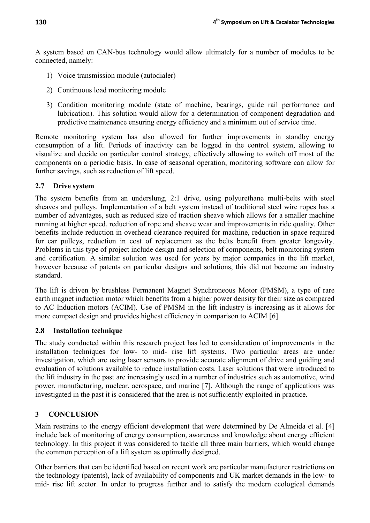A system based on CAN-bus technology would allow ultimately for a number of modules to be connected, namely:

- 1) Voice transmission module (autodialer)
- 2) Continuous load monitoring module
- 3) Condition monitoring module (state of machine, bearings, guide rail performance and lubrication). This solution would allow for a determination of component degradation and predictive maintenance ensuring energy efficiency and a minimum out of service time.

Remote monitoring system has also allowed for further improvements in standby energy consumption of a lift. Periods of inactivity can be logged in the control system, allowing to visualize and decide on particular control strategy, effectively allowing to switch off most of the components on a periodic basis. In case of seasonal operation, monitoring software can allow for further savings, such as reduction of lift speed.

## **2.7 Drive system**

The system benefits from an underslung, 2:1 drive, using polyurethane multi-belts with steel sheaves and pulleys. Implementation of a belt system instead of traditional steel wire ropes has a number of advantages, such as reduced size of traction sheave which allows for a smaller machine running at higher speed, reduction of rope and sheave wear and improvements in ride quality. Other benefits include reduction in overhead clearance required for machine, reduction in space required for car pulleys, reduction in cost of replacement as the belts benefit from greater longevity. Problems in this type of project include design and selection of components, belt monitoring system and certification. A similar solution was used for years by major companies in the lift market, however because of patents on particular designs and solutions, this did not become an industry standard.

The lift is driven by brushless Permanent Magnet Synchroneous Motor (PMSM), a type of rare earth magnet induction motor which benefits from a higher power density for their size as compared to AC Induction motors (ACIM). Use of PMSM in the lift industry is increasing as it allows for more compact design and provides highest efficiency in comparison to ACIM [6].

## **2.8 Installation technique**

The study conducted within this research project has led to consideration of improvements in the installation techniques for low- to mid- rise lift systems. Two particular areas are under investigation, which are using laser sensors to provide accurate alignment of drive and guiding and evaluation of solutions available to reduce installation costs. Laser solutions that were introduced to the lift industry in the past are increasingly used in a number of industries such as automotive, wind power, manufacturing, nuclear, aerospace, and marine [7]. Although the range of applications was investigated in the past it is considered that the area is not sufficiently exploited in practice.

# **3 CONCLUSION**

Main restrains to the energy efficient development that were determined by De Almeida et al. [4] include lack of monitoring of energy consumption, awareness and knowledge about energy efficient technology. In this project it was considered to tackle all three main barriers, which would change the common perception of a lift system as optimally designed.

Other barriers that can be identified based on recent work are particular manufacturer restrictions on the technology (patents), lack of availability of components and UK market demands in the low- to mid- rise lift sector. In order to progress further and to satisfy the modern ecological demands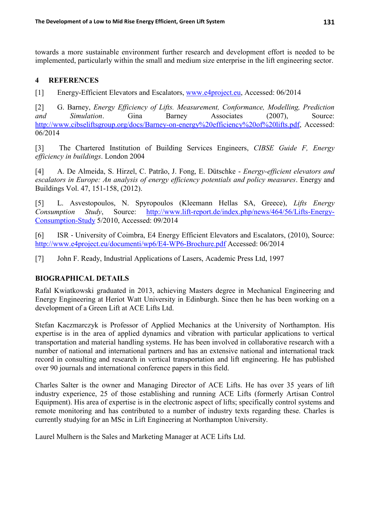towards a more sustainable environment further research and development effort is needed to be implemented, particularly within the small and medium size enterprise in the lift engineering sector.

### **4 REFERENCES**

[1] Energy-Efficient Elevators and Escalators, [www.e4project.eu,](http://www.e4project.eu/) Accessed: 06/2014

[2] G. Barney, *Energy Efficiency of Lifts. Measurement, Conformance, Modelling, Prediction and Simulation*. Gina Barney Associates (2007), Source: [http://www.cibseliftsgroup.org/docs/Barney-on-energy%20efficiency%20of%20lifts.pdf,](http://www.cibseliftsgroup.org/docs/Barney-on-energy%20efficiency%20of%20lifts.pdf) Accessed: 06/2014

[3] The Chartered Institution of Building Services Engineers, *CIBSE Guide F, Energy efficiency in buildings*. London 2004

[4] A. De Almeida, S. Hirzel, C. Patrão, J. Fong, E. Dütschke - *Energy-efficient elevators and escalators in Europe: An analysis of energy efficiency potentials and policy measures*. Energy and Buildings Vol. 47, 151-158, (2012).

[5] L. Asvestopoulos, N. Spyropoulos (Kleemann Hellas SA, Greece), *Lifts Energy Consumption Study*, Source: [http://www.lift-report.de/index.php/news/464/56/Lifts-Energy-](http://www.lift-report.de/index.php/news/464/56/Lifts-Energy-Consumption-Study)[Consumption-Study](http://www.lift-report.de/index.php/news/464/56/Lifts-Energy-Consumption-Study) 5/2010, Accessed: 09/2014

[6] ISR ‐ University of Coimbra, E4 Energy Efficient Elevators and Escalators, (2010), Source: <http://www.e4project.eu/documenti/wp6/E4-WP6-Brochure.pdf> Accessed: 06/2014

[7] John F. Ready, Industrial Applications of Lasers, Academic Press Ltd, 1997

## **BIOGRAPHICAL DETAILS**

Rafal Kwiatkowski graduated in 2013, achieving Masters degree in Mechanical Engineering and Energy Engineering at Heriot Watt University in Edinburgh. Since then he has been working on a development of a Green Lift at ACE Lifts Ltd.

Stefan Kaczmarczyk is Professor of Applied Mechanics at the University of Northampton. His expertise is in the area of applied dynamics and vibration with particular applications to vertical transportation and material handling systems. He has been involved in collaborative research with a number of national and international partners and has an extensive national and international track record in consulting and research in vertical transportation and lift engineering. He has published over 90 journals and international conference papers in this field.

Charles Salter is the owner and Managing Director of ACE Lifts. He has over 35 years of lift industry experience, 25 of those establishing and running ACE Lifts (formerly Artisan Control Equipment). His area of expertise is in the electronic aspect of lifts; specifically control systems and remote monitoring and has contributed to a number of industry texts regarding these. Charles is currently studying for an MSc in Lift Engineering at Northampton University.

Laurel Mulhern is the Sales and Marketing Manager at ACE Lifts Ltd.